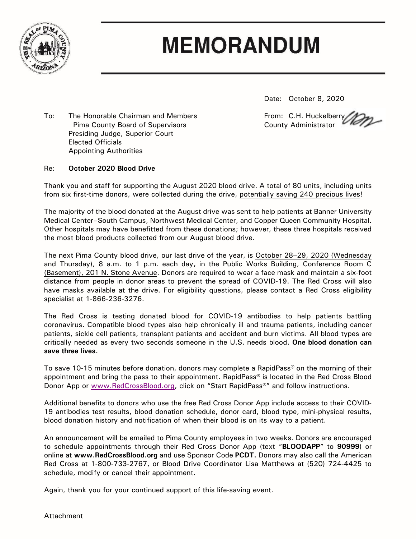

# **MEMORANDUM**

Date: October 8, 2020

To: The Honorable Chairman and Members **From: C.H. Huckelberry** Pima County Board of Supervisors **County Administrator** County Administrator Presiding Judge, Superior Court Elected Officials Appointing Authorities

#### Re: **October 2020 Blood Drive**

Thank you and staff for supporting the August 2020 blood drive. A total of 80 units, including units from six first-time donors, were collected during the drive, potentially saving 240 precious lives!

The majority of the blood donated at the August drive was sent to help patients at Banner University Medical Center–South Campus, Northwest Medical Center, and Copper Queen Community Hospital. Other hospitals may have benefitted from these donations; however, these three hospitals received the most blood products collected from our August blood drive.

The next Pima County blood drive, our last drive of the year, is October 28−29, 2020 (Wednesday and Thursday), 8 a.m. to 1 p.m. each day**,** in the Public Works Building, Conference Room C (Basement), 201 N. Stone Avenue. Donors are required to wear a face mask and maintain a six-foot distance from people in donor areas to prevent the spread of COVID-19. The Red Cross will also have masks available at the drive. For eligibility questions, please contact a Red Cross eligibility specialist at 1-866-236-3276.

The Red Cross is testing donated blood for COVID-19 antibodies to help patients battling coronavirus. Compatible blood types also help chronically ill and trauma patients, including cancer patients, sickle cell patients, transplant patients and accident and burn victims. All blood types are critically needed as every two seconds someone in the U.S. needs blood. **One blood donation can save three lives.**

To save 10-15 minutes before donation, donors may complete a RapidPass® on the morning of their appointment and bring the pass to their appointment. RapidPass® is located in the Red Cross Blood Donor App or [www.RedCrossBlood.org,](http://www.redcrossblood.org/) click on "Start RapidPass<sup>®</sup>" and follow instructions.

Additional benefits to donors who use the free Red Cross Donor App include access to their COVID-19 antibodies test results, blood donation schedule, donor card, blood type, mini-physical results, blood donation history and notification of when their blood is on its way to a patient.

An announcement will be emailed to Pima County employees in two weeks. Donors are encouraged to schedule appointments through their Red Cross Donor App (text "**BLOODAPP**" to **90999**) or online at **[www.RedCrossBlood.org](http://www.redcrossblood.org/)** and use Sponsor Code **PCDT.** Donors may also call the American Red Cross at 1-800-733-2767, or Blood Drive Coordinator Lisa Matthews at (520) 724-4425 to schedule, modify or cancel their appointment.

Again, thank you for your continued support of this life-saving event.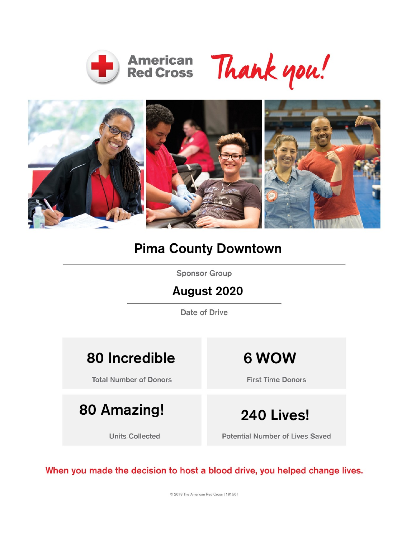





### Pima County Downtown

**Sponsor Group** 

#### August 2020

Date of Drive

## 80 Incredible **6 WOW**

**Total Number of Donors** 

## 80 Amazing! 240 Lives!

**Units Collected** 

**First Time Donors** 

**Potential Number of Lives Saved** 

When you made the decision to host a blood drive, you helped change lives.

C 2018 The American Red Cross | 181501